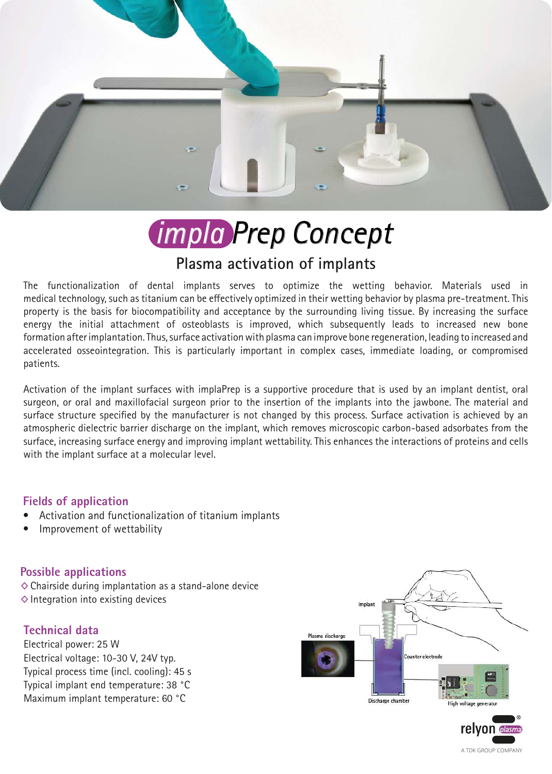

# *impla Prep Concept*

# **Plasma activation of implants**

The functionalization of dental implants serves to optimize the wetting behavior. Materials used in medical technology, such as titanium can be effectively optimized in their wetting behavior by plasma pre-treatment. This property is the basis for biocompatibility and acceptance by the surrounding living tissue. By increasing the surface energy the initial attachment of osteoblasts is improved, which subsequently leads to increased new bone formation after implantation. Thus, surface activation with plasma can improve bone regeneration, leading to increased and accelerated osseointegration. This is particularly important in complex cases, immediate loading, or compromised patients.

Activation of the implant surfaces with implaPrep is a supportive procedure that is used by an implant dentist, oral surgeon, or oral and maxillofacial surgeon prior to the insertion of the implants into the jawbone. The material and surface structure specified by the manufacturer is not changed by this process. Surface activation is achieved by an atmospheric dielectric barrier discharge on the implant, which removes microscopic carbon-based adsorbates from the surface, increasing surface energy and improving implant wettability. This enhances the interactions of proteins and cells with the implant surface at a molecular level.

### **Fields of application**

- Activation and functionalization of titanium implants
- Improvement of wettability

### **Possible applications**

 $\diamond$  Chairside during implantation as a stand-alone device  $\diamond$  Integration into existing devices

### **Technical data**

Electrical power: 25 W Electrical voltage: 10-30 V, 24V typ. Typical process time (incl. cooling): 45 s Typical implant end temperature: 38 °C Maximum implant temperature: 60 °C